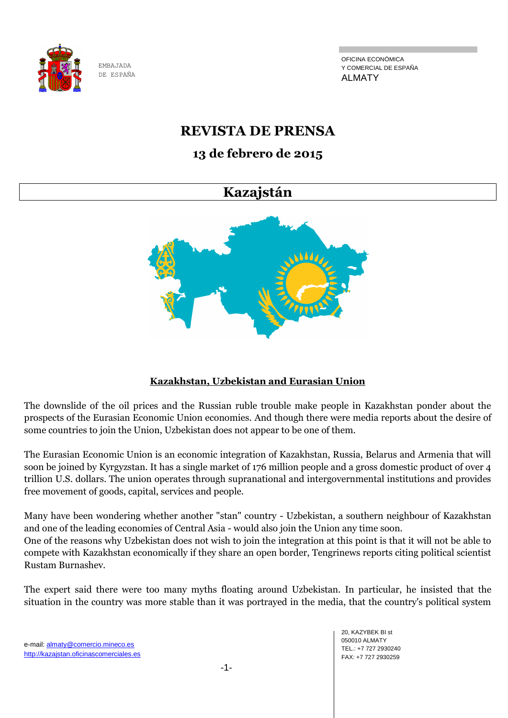

OFICINA ECONÓMICA Y COMERCIAL DE ESPAÑA ALMATY

## **REVISTA DE PRENSA**

## **13 de febrero de 2015**

## **Kazajstán**



## **Kazakhstan, Uzbekistan and Eurasian Union**

The downslide of the oil prices and the Russian ruble trouble make people in Kazakhstan ponder about the prospects of the Eurasian Economic Union economies. And though there were media reports about the desire of some countries to join the Union, Uzbekistan does not appear to be one of them.

The Eurasian Economic Union is an economic integration of Kazakhstan, Russia, Belarus and Armenia that will soon be joined by Kyrgyzstan. It has a single market of 176 million people and a gross domestic product of over 4 trillion U.S. dollars. The union operates through supranational and intergovernmental institutions and provides free movement of goods, capital, services and people.

Many have been wondering whether another "stan" country - Uzbekistan, a southern neighbour of Kazakhstan and one of the leading economies of Central Asia - would also join the Union any time soon. One of the reasons why Uzbekistan does not wish to join the integration at this point is that it will not be able to compete with Kazakhstan economically if they share an open border, Tengrinews reports citing political scientist Rustam Burnashev.

The expert said there were too many myths floating around Uzbekistan. In particular, he insisted that the situation in the country was more stable than it was portrayed in the media, that the country's political system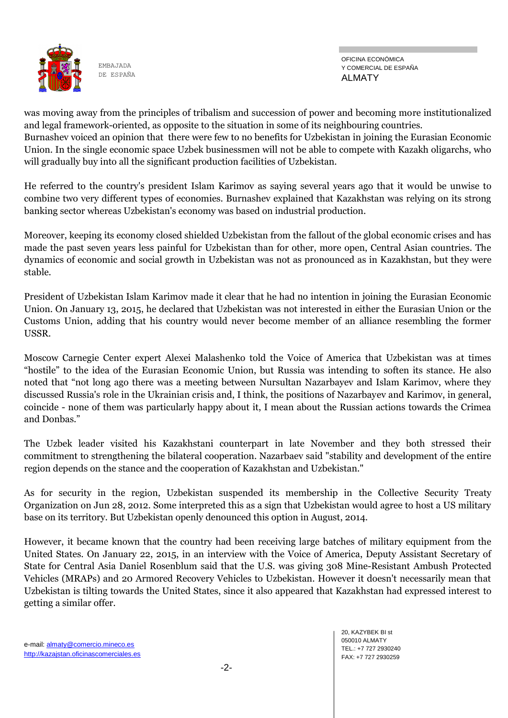

OFICINA ECONÓMICA Y COMERCIAL DE ESPAÑA ALMATY

was moving away from the principles of tribalism and succession of power and becoming more institutionalized and legal framework-oriented, as opposite to the situation in some of its neighbouring countries.

Burnashev voiced an opinion that there were few to no benefits for Uzbekistan in joining the Eurasian Economic Union. In the single economic space Uzbek businessmen will not be able to compete with Kazakh oligarchs, who will gradually buy into all the significant production facilities of Uzbekistan.

He referred to the country's president Islam Karimov as saying several years ago that it would be unwise to combine two very different types of economies. Burnashev explained that Kazakhstan was relying on its strong banking sector whereas Uzbekistan's economy was based on industrial production.

Moreover, keeping its economy closed shielded Uzbekistan from the fallout of the global economic crises and has made the past seven years less painful for Uzbekistan than for other, more open, Central Asian countries. The dynamics of economic and social growth in Uzbekistan was not as pronounced as in Kazakhstan, but they were stable.

President of Uzbekistan Islam Karimov made it clear that he had no intention in joining the Eurasian Economic Union. On January 13, 2015, he declared that Uzbekistan was not interested in either the Eurasian Union or the Customs Union, adding that his country would never become member of an alliance resembling the former USSR.

Moscow Carnegie Center expert Alexei Malashenko told the Voice of America that Uzbekistan was at times ―hostile‖ to the idea of the Eurasian Economic Union, but Russia was intending to soften its stance. He also noted that "not long ago there was a meeting between Nursultan Nazarbayev and Islam Karimov, where they discussed Russia's role in the Ukrainian crisis and, I think, the positions of Nazarbayev and Karimov, in general, coincide - none of them was particularly happy about it, I mean about the Russian actions towards the Crimea and Donbas."

The Uzbek leader visited his Kazakhstani counterpart in late November and they both stressed their commitment to strengthening the bilateral cooperation. Nazarbaev said "stability and development of the entire region depends on the stance and the cooperation of Kazakhstan and Uzbekistan."

As for security in the region, Uzbekistan suspended its membership in the Collective Security Treaty Organization on Jun 28, 2012. Some interpreted this as a sign that Uzbekistan would agree to host a US military base on its territory. But Uzbekistan openly denounced this option in August, 2014.

However, it became known that the country had been receiving large batches of military equipment from the United States. On January 22, 2015, in an interview with the Voice of America, Deputy Assistant Secretary of State for Central Asia Daniel Rosenblum said that the U.S. was giving 308 Mine-Resistant Ambush Protected Vehicles (MRAPs) and 20 Armored Recovery Vehicles to Uzbekistan. However it doesn't necessarily mean that Uzbekistan is tilting towards the United States, since it also appeared that Kazakhstan had expressed interest to getting a similar offer.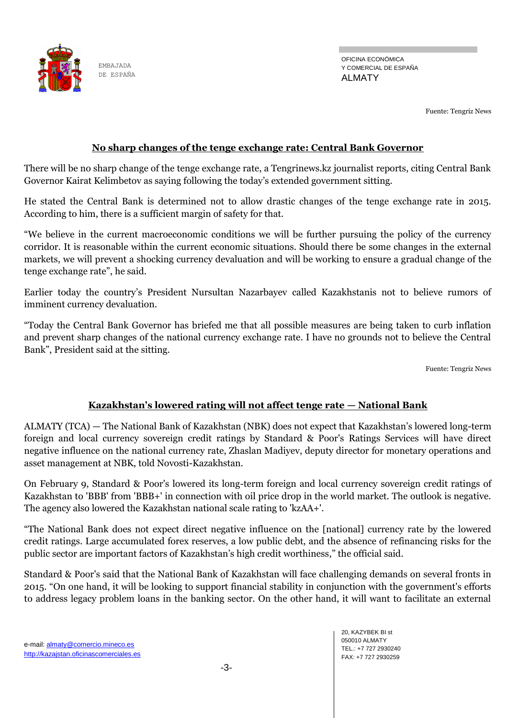

OFICINA ECONÓMICA Y COMERCIAL DE ESPAÑA ALMATY

Fuente: Tengriz News

#### **No sharp changes of the tenge exchange rate: Central Bank Governor**

There will be no sharp change of the tenge exchange rate, a Tengrinews.kz journalist reports, citing Central Bank Governor Kairat Kelimbetov as saying following the today's extended government sitting.

He stated the Central Bank is determined not to allow drastic changes of the tenge exchange rate in 2015. According to him, there is a sufficient margin of safety for that.

―We believe in the current macroeconomic conditions we will be further pursuing the policy of the currency corridor. It is reasonable within the current economic situations. Should there be some changes in the external markets, we will prevent a shocking currency devaluation and will be working to ensure a gradual change of the tenge exchange rate", he said.

Earlier today the country's President Nursultan Nazarbayev called Kazakhstanis not to believe rumors of imminent currency devaluation.

―Today the Central Bank Governor has briefed me that all possible measures are being taken to curb inflation and prevent sharp changes of the national currency exchange rate. I have no grounds not to believe the Central Bank", President said at the sitting.

Fuente: Tengriz News

### **Kazakhstan's lowered rating will not affect tenge rate — National Bank**

ALMATY (TCA) — The National Bank of Kazakhstan (NBK) does not expect that Kazakhstan's lowered long-term foreign and local currency sovereign credit ratings by Standard & Poor's Ratings Services will have direct negative influence on the national currency rate, Zhaslan Madiyev, deputy director for monetary operations and asset management at NBK, told Novosti-Kazakhstan.

On February 9, Standard & Poor's lowered its long-term foreign and local currency sovereign credit ratings of Kazakhstan to 'BBB' from 'BBB+' in connection with oil price drop in the world market. The outlook is negative. The agency also lowered the Kazakhstan national scale rating to 'kzAA+'.

―The National Bank does not expect direct negative influence on the [national] currency rate by the lowered credit ratings. Large accumulated forex reserves, a low public debt, and the absence of refinancing risks for the public sector are important factors of Kazakhstan's high credit worthiness," the official said.

Standard & Poor's said that the National Bank of Kazakhstan will face challenging demands on several fronts in 2015. ―On one hand, it will be looking to support financial stability in conjunction with the government's efforts to address legacy problem loans in the banking sector. On the other hand, it will want to facilitate an external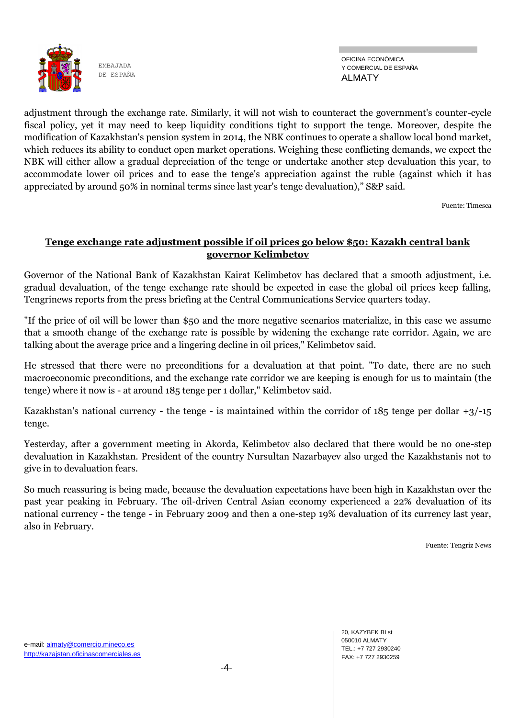

OFICINA ECONÓMICA Y COMERCIAL DE ESPAÑA ALMATY

adjustment through the exchange rate. Similarly, it will not wish to counteract the government's counter-cycle fiscal policy, yet it may need to keep liquidity conditions tight to support the tenge. Moreover, despite the modification of Kazakhstan's pension system in 2014, the NBK continues to operate a shallow local bond market, which reduces its ability to conduct open market operations. Weighing these conflicting demands, we expect the NBK will either allow a gradual depreciation of the tenge or undertake another step devaluation this year, to accommodate lower oil prices and to ease the tenge's appreciation against the ruble (against which it has appreciated by around 50% in nominal terms since last year's tenge devaluation)," S&P said.

Fuente: Timesca

#### **Tenge exchange rate adjustment possible if oil prices go below \$50: Kazakh central bank governor Kelimbetov**

Governor of the National Bank of Kazakhstan Kairat Kelimbetov has declared that a smooth adjustment, i.e. gradual devaluation, of the tenge exchange rate should be expected in case the global oil prices keep falling, Tengrinews reports from the press briefing at the Central Communications Service quarters today.

"If the price of oil will be lower than \$50 and the more negative scenarios materialize, in this case we assume that a smooth change of the exchange rate is possible by widening the exchange rate corridor. Again, we are talking about the average price and a lingering decline in oil prices," Kelimbetov said.

He stressed that there were no preconditions for a devaluation at that point. "To date, there are no such macroeconomic preconditions, and the exchange rate corridor we are keeping is enough for us to maintain (the tenge) where it now is - at around 185 tenge per 1 dollar," Kelimbetov said.

Kazakhstan's national currency - the tenge - is maintained within the corridor of 185 tenge per dollar +3/-15 tenge.

Yesterday, after a government meeting in Akorda, Kelimbetov also declared that there would be no one-step devaluation in Kazakhstan. President of the country Nursultan Nazarbayev also urged the Kazakhstanis not to give in to devaluation fears.

So much reassuring is being made, because the devaluation expectations have been high in Kazakhstan over the past year peaking in February. The oil-driven Central Asian economy experienced a 22% devaluation of its national currency - the tenge - in February 2009 and then a one-step 19% devaluation of its currency last year, also in February.

Fuente: Tengriz News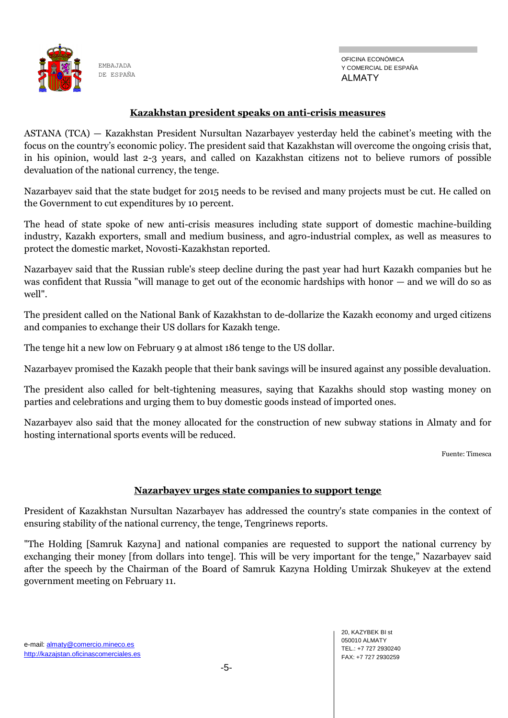

OFICINA ECONÓMICA Y COMERCIAL DE ESPAÑA ALMATY

#### **Kazakhstan president speaks on anti-crisis measures**

ASTANA (TCA) — Kazakhstan President Nursultan Nazarbayev yesterday held the cabinet's meeting with the focus on the country's economic policy. The president said that Kazakhstan will overcome the ongoing crisis that, in his opinion, would last 2-3 years, and called on Kazakhstan citizens not to believe rumors of possible devaluation of the national currency, the tenge.

Nazarbayev said that the state budget for 2015 needs to be revised and many projects must be cut. He called on the Government to cut expenditures by 10 percent.

The head of state spoke of new anti-crisis measures including state support of domestic machine-building industry, Kazakh exporters, small and medium business, and agro-industrial complex, as well as measures to protect the domestic market, Novosti-Kazakhstan reported.

Nazarbayev said that the Russian ruble's steep decline during the past year had hurt Kazakh companies but he was confident that Russia "will manage to get out of the economic hardships with honor — and we will do so as well".

The president called on the National Bank of Kazakhstan to de-dollarize the Kazakh economy and urged citizens and companies to exchange their US dollars for Kazakh tenge.

The tenge hit a new low on February 9 at almost 186 tenge to the US dollar.

Nazarbayev promised the Kazakh people that their bank savings will be insured against any possible devaluation.

The president also called for belt-tightening measures, saying that Kazakhs should stop wasting money on parties and celebrations and urging them to buy domestic goods instead of imported ones.

Nazarbayev also said that the money allocated for the construction of new subway stations in Almaty and for hosting international sports events will be reduced.

Fuente: Timesca

#### **Nazarbayev urges state companies to support tenge**

President of Kazakhstan Nursultan Nazarbayev has addressed the country's state companies in the context of ensuring stability of the national currency, the tenge, Tengrinews reports.

"The Holding [Samruk Kazyna] and national companies are requested to support the national currency by exchanging their money [from dollars into tenge]. This will be very important for the tenge," Nazarbayev said after the speech by the Chairman of the Board of Samruk Kazyna Holding Umirzak Shukeyev at the extend government meeting on February 11.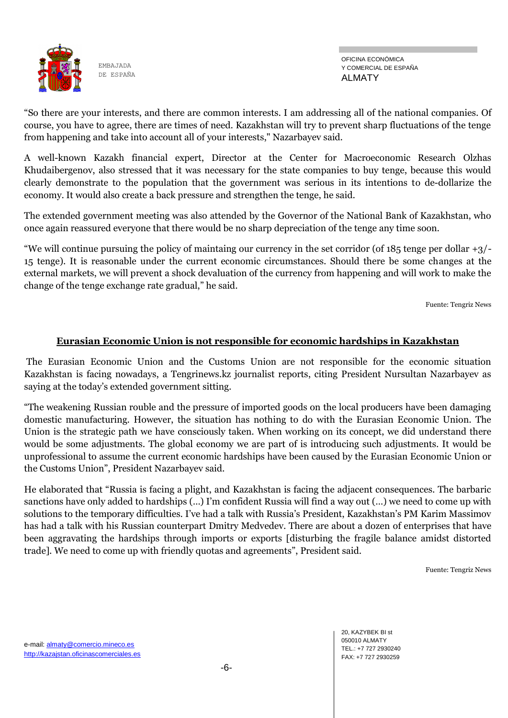

OFICINA ECONÓMICA Y COMERCIAL DE ESPAÑA ALMATY

―So there are your interests, and there are common interests. I am addressing all of the national companies. Of course, you have to agree, there are times of need. Kazakhstan will try to prevent sharp fluctuations of the tenge from happening and take into account all of your interests," Nazarbayev said.

A well-known Kazakh financial expert, Director at the Center for Macroeconomic Research Olzhas Khudaibergenov, also stressed that it was necessary for the state companies to buy tenge, because this would clearly demonstrate to the population that the government was serious in its intentions to de-dollarize the economy. It would also create a back pressure and strengthen the tenge, he said.

The extended government meeting was also attended by the Governor of the National Bank of Kazakhstan, who once again reassured everyone that there would be no sharp depreciation of the tenge any time soon.

"We will continue pursuing the policy of maintaing our currency in the set corridor (of  $185$  tenge per dollar  $+3/$ -15 tenge). It is reasonable under the current economic circumstances. Should there be some changes at the external markets, we will prevent a shock devaluation of the currency from happening and will work to make the change of the tenge exchange rate gradual," he said.

Fuente: Tengriz News

#### **Eurasian Economic Union is not responsible for economic hardships in Kazakhstan**

The Eurasian Economic Union and the Customs Union are not responsible for the economic situation Kazakhstan is facing nowadays, a Tengrinews.kz journalist reports, citing President Nursultan Nazarbayev as saying at the today's extended government sitting.

―The weakening Russian rouble and the pressure of imported goods on the local producers have been damaging domestic manufacturing. However, the situation has nothing to do with the Eurasian Economic Union. The Union is the strategic path we have consciously taken. When working on its concept, we did understand there would be some adjustments. The global economy we are part of is introducing such adjustments. It would be unprofessional to assume the current economic hardships have been caused by the Eurasian Economic Union or the Customs Union", President Nazarbayev said.

He elaborated that "Russia is facing a plight, and Kazakhstan is facing the adjacent consequences. The barbaric sanctions have only added to hardships (…) I'm confident Russia will find a way out (…) we need to come up with solutions to the temporary difficulties. I've had a talk with Russia's President, Kazakhstan's PM Karim Massimov has had a talk with his Russian counterpart Dmitry Medvedev. There are about a dozen of enterprises that have been aggravating the hardships through imports or exports [disturbing the fragile balance amidst distorted trade]. We need to come up with friendly quotas and agreements", President said.

Fuente: Tengriz News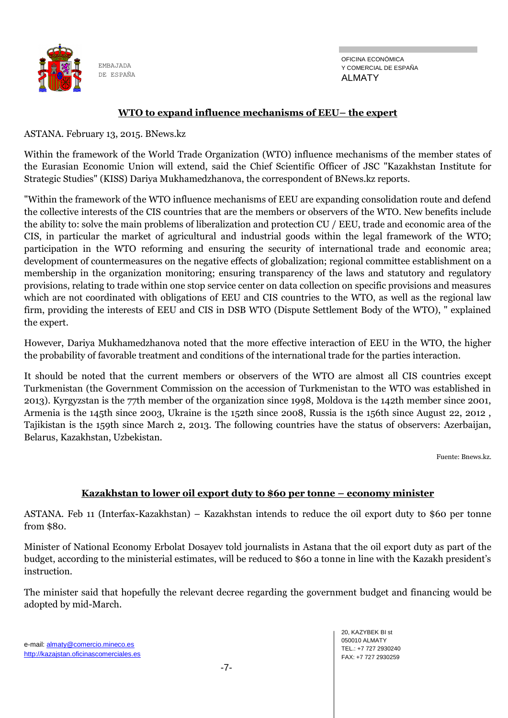

OFICINA ECONÓMICA Y COMERCIAL DE ESPAÑA ALMATY

#### **WTO to expand influence mechanisms of EEU– the expert**

ASTANA. February 13, 2015. BNews.kz

Within the framework of the World Trade Organization (WTO) influence mechanisms of the member states of the Eurasian Economic Union will extend, said the Chief Scientific Officer of JSC "Kazakhstan Institute for Strategic Studies" (KISS) Dariya Mukhamedzhanova, the correspondent of BNews.kz reports.

"Within the framework of the WTO influence mechanisms of EEU are expanding consolidation route and defend the collective interests of the CIS countries that are the members or observers of the WTO. New benefits include the ability to: solve the main problems of liberalization and protection CU / EEU, trade and economic area of the CIS, in particular the market of agricultural and industrial goods within the legal framework of the WTO; participation in the WTO reforming and ensuring the security of international trade and economic area; development of countermeasures on the negative effects of globalization; regional committee establishment on a membership in the organization monitoring; ensuring transparency of the laws and statutory and regulatory provisions, relating to trade within one stop service center on data collection on specific provisions and measures which are not coordinated with obligations of EEU and CIS countries to the WTO, as well as the regional law firm, providing the interests of EEU and CIS in DSB WTO (Dispute Settlement Body of the WTO), " explained the expert.

However, Dariya Mukhamedzhanova noted that the more effective interaction of EEU in the WTO, the higher the probability of favorable treatment and conditions of the international trade for the parties interaction.

It should be noted that the current members or observers of the WTO are almost all CIS countries except Turkmenistan (the Government Commission on the accession of Turkmenistan to the WTO was established in 2013). Kyrgyzstan is the 77th member of the organization since 1998, Moldova is the 142th member since 2001, Armenia is the 145th since 2003, Ukraine is the 152th since 2008, Russia is the 156th since August 22, 2012 , Tajikistan is the 159th since March 2, 2013. The following countries have the status of observers: Azerbaijan, Belarus, Kazakhstan, Uzbekistan.

Fuente: Bnews.kz.

#### **Kazakhstan to lower oil export duty to \$60 per tonne – economy minister**

ASTANA. Feb 11 (Interfax-Kazakhstan) – Kazakhstan intends to reduce the oil export duty to \$60 per tonne from \$80.

Minister of National Economy Erbolat Dosayev told journalists in Astana that the oil export duty as part of the budget, according to the ministerial estimates, will be reduced to \$60 a tonne in line with the Kazakh president's instruction.

The minister said that hopefully the relevant decree regarding the government budget and financing would be adopted by mid-March.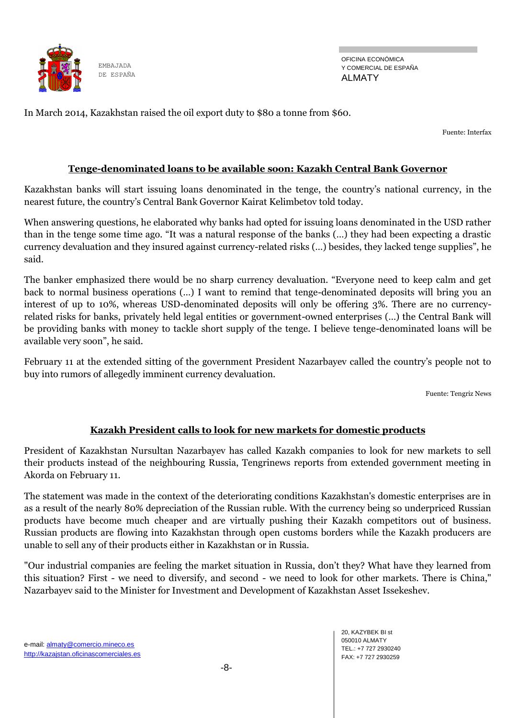

OFICINA ECONÓMICA Y COMERCIAL DE ESPAÑA ALMATY

In March 2014, Kazakhstan raised the oil export duty to \$80 a tonne from \$60.

Fuente: Interfax

### **Tenge-denominated loans to be available soon: Kazakh Central Bank Governor**

Kazakhstan banks will start issuing loans denominated in the tenge, the country's national currency, in the nearest future, the country's Central Bank Governor Kairat Kelimbetov told today.

When answering questions, he elaborated why banks had opted for issuing loans denominated in the USD rather than in the tenge some time ago. "It was a natural response of the banks (...) they had been expecting a drastic currency devaluation and they insured against currency-related risks (...) besides, they lacked tenge supplies", he said.

The banker emphasized there would be no sharp currency devaluation. "Everyone need to keep calm and get back to normal business operations (…) I want to remind that tenge-denominated deposits will bring you an interest of up to 10%, whereas USD-denominated deposits will only be offering 3%. There are no currencyrelated risks for banks, privately held legal entities or government-owned enterprises (…) the Central Bank will be providing banks with money to tackle short supply of the tenge. I believe tenge-denominated loans will be available very soon", he said.

February 11 at the extended sitting of the government President Nazarbayev called the country's people not to buy into rumors of allegedly imminent currency devaluation.

Fuente: Tengriz News

## **Kazakh President calls to look for new markets for domestic products**

President of Kazakhstan Nursultan Nazarbayev has called Kazakh companies to look for new markets to sell their products instead of the neighbouring Russia, Tengrinews reports from extended government meeting in Akorda on February 11.

The statement was made in the context of the deteriorating conditions Kazakhstan's domestic enterprises are in as a result of the nearly 80% depreciation of the Russian ruble. With the currency being so underpriced Russian products have become much cheaper and are virtually pushing their Kazakh competitors out of business. Russian products are flowing into Kazakhstan through open customs borders while the Kazakh producers are unable to sell any of their products either in Kazakhstan or in Russia.

"Our industrial companies are feeling the market situation in Russia, don't they? What have they learned from this situation? First - we need to diversify, and second - we need to look for other markets. There is China," Nazarbayev said to the Minister for Investment and Development of Kazakhstan Asset Issekeshev.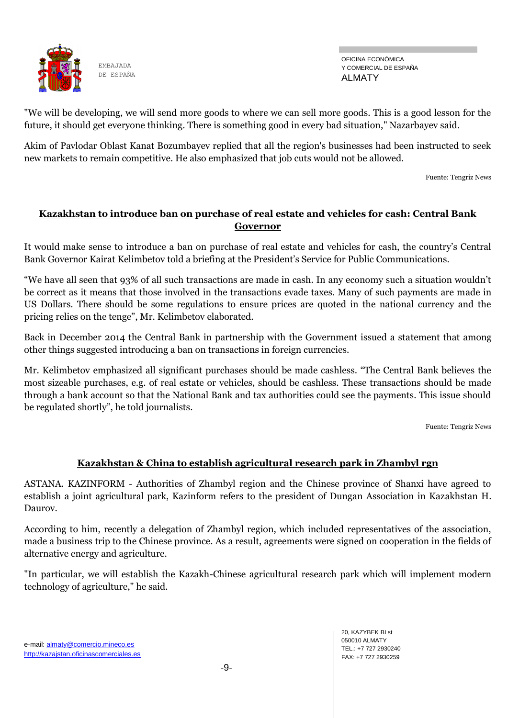

OFICINA ECONÓMICA Y COMERCIAL DE ESPAÑA ALMATY

"We will be developing, we will send more goods to where we can sell more goods. This is a good lesson for the future, it should get everyone thinking. There is something good in every bad situation," Nazarbayev said.

Akim of Pavlodar Oblast Kanat Bozumbayev replied that all the region's businesses had been instructed to seek new markets to remain competitive. He also emphasized that job cuts would not be allowed.

Fuente: Tengriz News

### **Kazakhstan to introduce ban on purchase of real estate and vehicles for cash: Central Bank Governor**

It would make sense to introduce a ban on purchase of real estate and vehicles for cash, the country's Central Bank Governor Kairat Kelimbetov told a briefing at the President's Service for Public Communications.

―We have all seen that 93% of all such transactions are made in cash. In any economy such a situation wouldn't be correct as it means that those involved in the transactions evade taxes. Many of such payments are made in US Dollars. There should be some regulations to ensure prices are quoted in the national currency and the pricing relies on the tenge", Mr. Kelimbetov elaborated.

Back in December 2014 the Central Bank in partnership with the Government issued a statement that among other things suggested introducing a ban on transactions in foreign currencies.

Mr. Kelimbetov emphasized all significant purchases should be made cashless. "The Central Bank believes the most sizeable purchases, e.g. of real estate or vehicles, should be cashless. These transactions should be made through a bank account so that the National Bank and tax authorities could see the payments. This issue should be regulated shortly", he told journalists.

Fuente: Tengriz News

#### **Kazakhstan & China to establish agricultural research park in Zhambyl rgn**

ASTANA. KAZINFORM - Authorities of Zhambyl region and the Chinese province of Shanxi have agreed to establish a joint agricultural park, Kazinform refers to the president of Dungan Association in Kazakhstan H. Daurov.

According to him, recently a delegation of Zhambyl region, which included representatives of the association, made a business trip to the Chinese province. As a result, agreements were signed on cooperation in the fields of alternative energy and agriculture.

"In particular, we will establish the Kazakh-Chinese agricultural research park which will implement modern technology of agriculture," he said.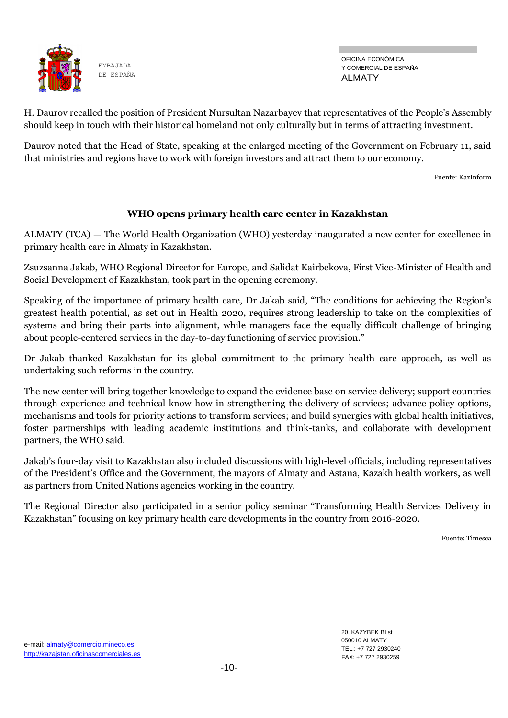

OFICINA ECONÓMICA Y COMERCIAL DE ESPAÑA ALMATY

H. Daurov recalled the position of President Nursultan Nazarbayev that representatives of the People's Assembly should keep in touch with their historical homeland not only culturally but in terms of attracting investment.

Daurov noted that the Head of State, speaking at the enlarged meeting of the Government on February 11, said that ministries and regions have to work with foreign investors and attract them to our economy.

Fuente: KazInform

#### **WHO opens primary health care center in Kazakhstan**

ALMATY (TCA) — The World Health Organization (WHO) yesterday inaugurated a new center for excellence in primary health care in Almaty in Kazakhstan.

Zsuzsanna Jakab, WHO Regional Director for Europe, and Salidat Kairbekova, First Vice-Minister of Health and Social Development of Kazakhstan, took part in the opening ceremony.

Speaking of the importance of primary health care, Dr Jakab said, "The conditions for achieving the Region's greatest health potential, as set out in Health 2020, requires strong leadership to take on the complexities of systems and bring their parts into alignment, while managers face the equally difficult challenge of bringing about people-centered services in the day-to-day functioning of service provision."

Dr Jakab thanked Kazakhstan for its global commitment to the primary health care approach, as well as undertaking such reforms in the country.

The new center will bring together knowledge to expand the evidence base on service delivery; support countries through experience and technical know-how in strengthening the delivery of services; advance policy options, mechanisms and tools for priority actions to transform services; and build synergies with global health initiatives, foster partnerships with leading academic institutions and think-tanks, and collaborate with development partners, the WHO said.

Jakab's four-day visit to Kazakhstan also included discussions with high-level officials, including representatives of the President's Office and the Government, the mayors of Almaty and Astana, Kazakh health workers, as well as partners from United Nations agencies working in the country.

The Regional Director also participated in a senior policy seminar "Transforming Health Services Delivery in Kazakhstan" focusing on key primary health care developments in the country from 2016-2020.

Fuente: Timesca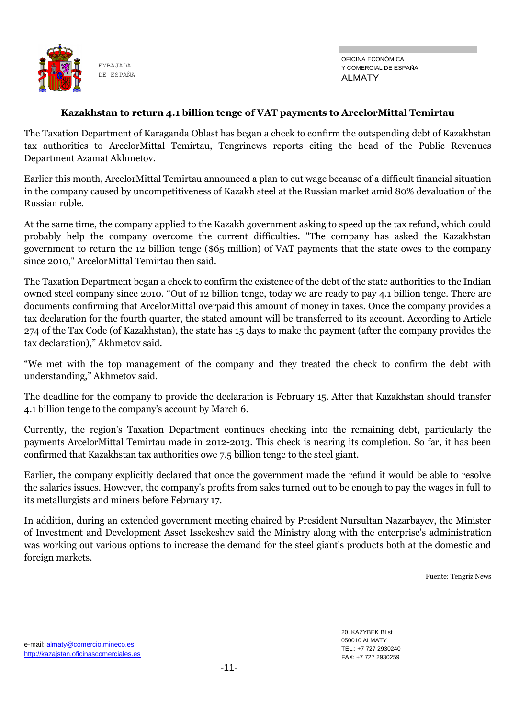

OFICINA ECONÓMICA Y COMERCIAL DE ESPAÑA ALMATY

#### **Kazakhstan to return 4.1 billion tenge of VAT payments to ArcelorMittal Temirtau**

The Taxation Department of Karaganda Oblast has began a check to confirm the outspending debt of Kazakhstan tax authorities to ArcelorMittal Temirtau, Tengrinews reports citing the head of the Public Revenues Department Azamat Akhmetov.

Earlier this month, ArcelorMittal Temirtau announced a plan to cut wage because of a difficult financial situation in the company caused by uncompetitiveness of Kazakh steel at the Russian market amid 80% devaluation of the Russian ruble.

At the same time, the company applied to the Kazakh government asking to speed up the tax refund, which could probably help the company overcome the current difficulties. "The company has asked the Kazakhstan government to return the 12 billion tenge (\$65 million) of VAT payments that the state owes to the company since 2010," ArcelorMittal Temirtau then said.

The Taxation Department began a check to confirm the existence of the debt of the state authorities to the Indian owned steel company since 2010. "Out of 12 billion tenge, today we are ready to pay 4.1 billion tenge. There are documents confirming that ArcelorMittal overpaid this amount of money in taxes. Once the company provides a tax declaration for the fourth quarter, the stated amount will be transferred to its account. According to Article 274 of the Tax Code (of Kazakhstan), the state has 15 days to make the payment (after the company provides the tax declaration)," Akhmetov said.

―We met with the top management of the company and they treated the check to confirm the debt with understanding," Akhmetov said.

The deadline for the company to provide the declaration is February 15. After that Kazakhstan should transfer 4.1 billion tenge to the company's account by March 6.

Currently, the region's Taxation Department continues checking into the remaining debt, particularly the payments ArcelorMittal Temirtau made in 2012-2013. This check is nearing its completion. So far, it has been confirmed that Kazakhstan tax authorities owe 7.5 billion tenge to the steel giant.

Earlier, the company explicitly declared that once the government made the refund it would be able to resolve the salaries issues. However, the company's profits from sales turned out to be enough to pay the wages in full to its metallurgists and miners before February 17.

In addition, during an extended government meeting chaired by President Nursultan Nazarbayev, the Minister of Investment and Development Asset Issekeshev said the Ministry along with the enterprise's administration was working out various options to increase the demand for the steel giant's products both at the domestic and foreign markets.

Fuente: Tengriz News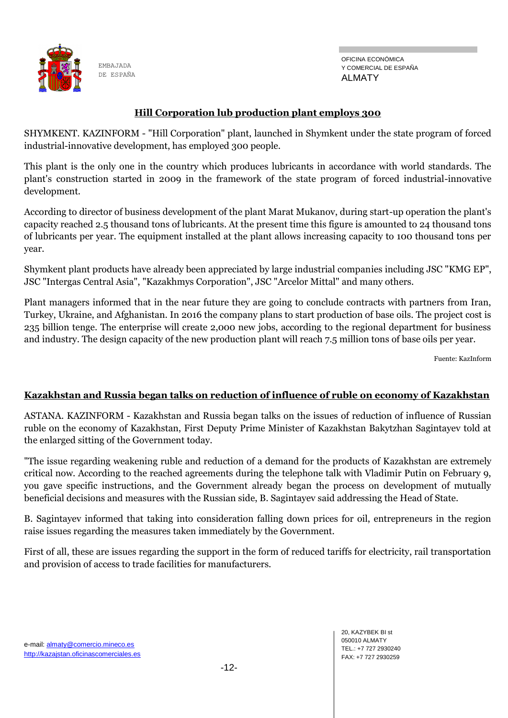

OFICINA ECONÓMICA Y COMERCIAL DE ESPAÑA ALMATY

#### **Hill Corporation lub production plant employs 300**

SHYMKENT. KAZINFORM - "Hill Corporation" plant, launched in Shymkent under the state program of forced industrial-innovative development, has employed 300 people.

This plant is the only one in the country which produces lubricants in accordance with world standards. The plant's construction started in 2009 in the framework of the state program of forced industrial-innovative development.

According to director of business development of the plant Marat Mukanov, during start-up operation the plant's capacity reached 2.5 thousand tons of lubricants. At the present time this figure is amounted to 24 thousand tons of lubricants per year. The equipment installed at the plant allows increasing capacity to 100 thousand tons per year.

Shymkent plant products have already been appreciated by large industrial companies including JSC "KMG EP", JSC "Intergas Central Asia", "Kazakhmys Corporation", JSC "Arcelor Mittal" and many others.

Plant managers informed that in the near future they are going to conclude contracts with partners from Iran, Turkey, Ukraine, and Afghanistan. In 2016 the company plans to start production of base oils. The project cost is 235 billion tenge. The enterprise will create 2,000 new jobs, according to the regional department for business and industry. The design capacity of the new production plant will reach 7.5 million tons of base oils per year.

Fuente: KazInform

#### **Kazakhstan and Russia began talks on reduction of influence of ruble on economy of Kazakhstan**

ASTANA. KAZINFORM - Kazakhstan and Russia began talks on the issues of reduction of influence of Russian ruble on the economy of Kazakhstan, First Deputy Prime Minister of Kazakhstan Bakytzhan Sagintayev told at the enlarged sitting of the Government today.

"The issue regarding weakening ruble and reduction of a demand for the products of Kazakhstan are extremely critical now. According to the reached agreements during the telephone talk with Vladimir Putin on February 9, you gave specific instructions, and the Government already began the process on development of mutually beneficial decisions and measures with the Russian side, B. Sagintayev said addressing the Head of State.

B. Sagintayev informed that taking into consideration falling down prices for oil, entrepreneurs in the region raise issues regarding the measures taken immediately by the Government.

First of all, these are issues regarding the support in the form of reduced tariffs for electricity, rail transportation and provision of access to trade facilities for manufacturers.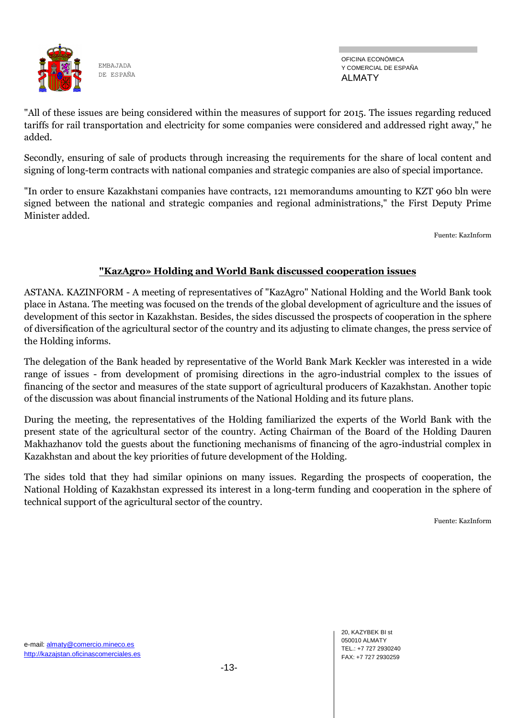

OFICINA ECONÓMICA Y COMERCIAL DE ESPAÑA ALMATY

"All of these issues are being considered within the measures of support for 2015. The issues regarding reduced tariffs for rail transportation and electricity for some companies were considered and addressed right away," he added.

Secondly, ensuring of sale of products through increasing the requirements for the share of local content and signing of long-term contracts with national companies and strategic companies are also of special importance.

"In order to ensure Kazakhstani companies have contracts, 121 memorandums amounting to KZT 960 bln were signed between the national and strategic companies and regional administrations," the First Deputy Prime Minister added.

Fuente: KazInform

### **"KazAgro» Holding and World Bank discussed cooperation issues**

ASTANA. KAZINFORM - A meeting of representatives of "KazAgro" National Holding and the World Bank took place in Astana. The meeting was focused on the trends of the global development of agriculture and the issues of development of this sector in Kazakhstan. Besides, the sides discussed the prospects of cooperation in the sphere of diversification of the agricultural sector of the country and its adjusting to climate changes, the press service of the Holding informs.

The delegation of the Bank headed by representative of the World Bank Mark Keckler was interested in a wide range of issues - from development of promising directions in the agro-industrial complex to the issues of financing of the sector and measures of the state support of agricultural producers of Kazakhstan. Another topic of the discussion was about financial instruments of the National Holding and its future plans.

During the meeting, the representatives of the Holding familiarized the experts of the World Bank with the present state of the agricultural sector of the country. Acting Chairman of the Board of the Holding Dauren Makhazhanov told the guests about the functioning mechanisms of financing of the agro-industrial complex in Kazakhstan and about the key priorities of future development of the Holding.

The sides told that they had similar opinions on many issues. Regarding the prospects of cooperation, the National Holding of Kazakhstan expressed its interest in a long-term funding and cooperation in the sphere of technical support of the agricultural sector of the country.

Fuente: KazInform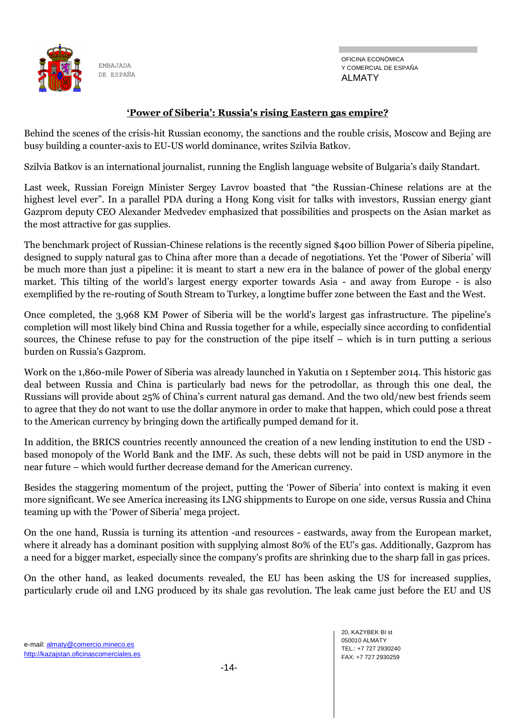

OFICINA ECONÓMICA Y COMERCIAL DE ESPAÑA ALMATY

#### **'Power of Siberia': Russia's rising Eastern gas empire?**

Behind the scenes of the crisis-hit Russian economy, the sanctions and the rouble crisis, Moscow and Bejing are busy building a counter-axis to EU-US world dominance, writes Szilvia Batkov.

Szilvia Batkov is an international journalist, running the English language website of Bulgaria's daily Standart.

Last week, Russian Foreign Minister Sergey Lavrov boasted that "the Russian-Chinese relations are at the highest level ever". In a parallel PDA during a Hong Kong visit for talks with investors, Russian energy giant Gazprom deputy CEO Alexander Medvedev emphasized that possibilities and prospects on the Asian market as the most attractive for gas supplies.

The benchmark project of Russian-Chinese relations is the recently signed \$400 billion Power of Siberia pipeline, designed to supply natural gas to China after more than a decade of negotiations. Yet the 'Power of Siberia' will be much more than just a pipeline: it is meant to start a new era in the balance of power of the global energy market. This tilting of the world's largest energy exporter towards Asia - and away from Europe - is also exemplified by the re-routing of South Stream to Turkey, a longtime buffer zone between the East and the West.

Once completed, the 3,968 KM Power of Siberia will be the world's largest gas infrastructure. The pipeline's completion will most likely bind China and Russia together for a while, especially since according to confidential sources, the Chinese refuse to pay for the construction of the pipe itself – which is in turn putting a serious burden on Russia's Gazprom.

Work on the 1,860-mile Power of Siberia was already launched in Yakutia on 1 September 2014. This historic gas deal between Russia and China is particularly bad news for the petrodollar, as through this one deal, the Russians will provide about 25% of China's current natural gas demand. And the two old/new best friends seem to agree that they do not want to use the dollar anymore in order to make that happen, which could pose a threat to the American currency by bringing down the artifically pumped demand for it.

In addition, the BRICS countries recently announced the creation of a new lending institution to end the USD based monopoly of the World Bank and the IMF. As such, these debts will not be paid in USD anymore in the near future – which would further decrease demand for the American currency.

Besides the staggering momentum of the project, putting the ‗Power of Siberia' into context is making it even more significant. We see America increasing its LNG shippments to Europe on one side, versus Russia and China teaming up with the 'Power of Siberia' mega project.

On the one hand, Russia is turning its attention -and resources - eastwards, away from the European market, where it already has a dominant position with supplying almost 80% of the EU's gas. Additionally, Gazprom has a need for a bigger market, especially since the company's profits are shrinking due to the sharp fall in gas prices.

On the other hand, as leaked documents revealed, the EU has been asking the US for increased supplies, particularly crude oil and LNG produced by its shale gas revolution. The leak came just before the EU and US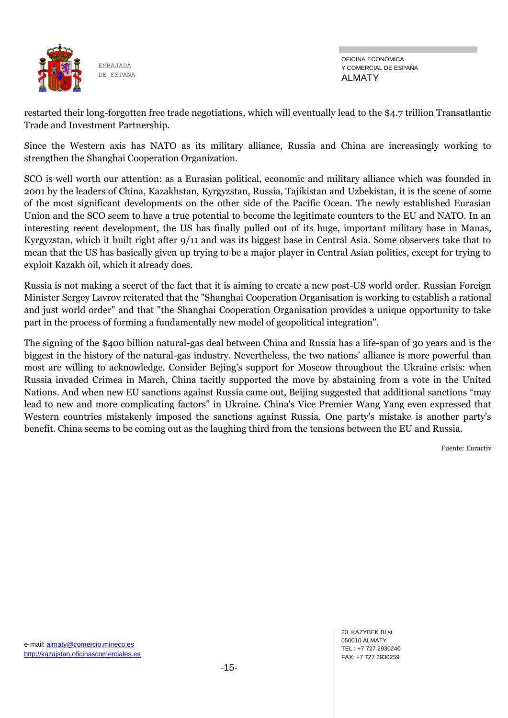

OFICINA ECONÓMICA Y COMERCIAL DE ESPAÑA ALMATY

restarted their long-forgotten free trade negotiations, which will eventually lead to the \$4.7 trillion Transatlantic Trade and Investment Partnership.

Since the Western axis has NATO as its military alliance, Russia and China are increasingly working to strengthen the Shanghai Cooperation Organization.

SCO is well worth our attention: as a Eurasian political, economic and military alliance which was founded in 2001 by the leaders of China, Kazakhstan, Kyrgyzstan, Russia, Tajikistan and Uzbekistan, it is the scene of some of the most significant developments on the other side of the Pacific Ocean. The newly established Eurasian Union and the SCO seem to have a true potential to become the legitimate counters to the EU and NATO. In an interesting recent development, the US has finally pulled out of its huge, important military base in Manas, Kyrgyzstan, which it built right after 9/11 and was its biggest base in Central Asia. Some observers take that to mean that the US has basically given up trying to be a major player in Central Asian politics, except for trying to exploit Kazakh oil, which it already does.

Russia is not making a secret of the fact that it is aiming to create a new post-US world order. Russian Foreign Minister Sergey Lavrov reiterated that the "Shanghai Cooperation Organisation is working to establish a rational and just world order" and that "the Shanghai Cooperation Organisation provides a unique opportunity to take part in the process of forming a fundamentally new model of geopolitical integration".

The signing of the \$400 billion natural-gas deal between China and Russia has a life-span of 30 years and is the biggest in the history of the natural-gas industry. Nevertheless, the two nations' alliance is more powerful than most are willing to acknowledge. Consider Bejing's support for Moscow throughout the Ukraine crisis: when Russia invaded Crimea in March, China tacitly supported the move by abstaining from a vote in the United Nations. And when new EU sanctions against Russia came out, Beijing suggested that additional sanctions "may lead to new and more complicating factors" in Ukraine. China's Vice Premier Wang Yang even expressed that Western countries mistakenly imposed the sanctions against Russia. One party's mistake is another party's benefit. China seems to be coming out as the laughing third from the tensions between the EU and Russia.

Fuente: Euractiv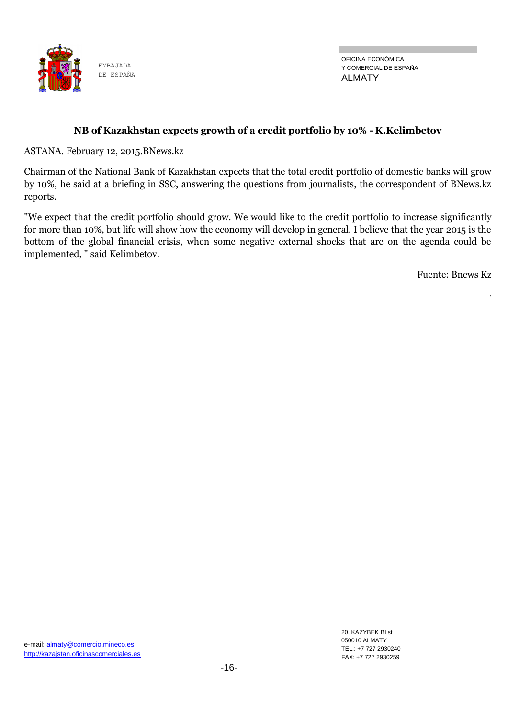

OFICINA ECONÓMICA Y COMERCIAL DE ESPAÑA ALMATY

#### **NB of Kazakhstan expects growth of a credit portfolio by 10% - K.Kelimbetov**

ASTANA. February 12, 2015.BNews.kz

Chairman of the National Bank of Kazakhstan expects that the total credit portfolio of domestic banks will grow by 10%, he said at a briefing in SSC, answering the questions from journalists, the correspondent of BNews.kz reports.

"We expect that the credit portfolio should grow. We would like to the credit portfolio to increase significantly for more than 10%, but life will show how the economy will develop in general. I believe that the year 2015 is the bottom of the global financial crisis, when some negative external shocks that are on the agenda could be implemented, " said Kelimbetov.

Fuente: Bnews Kz

.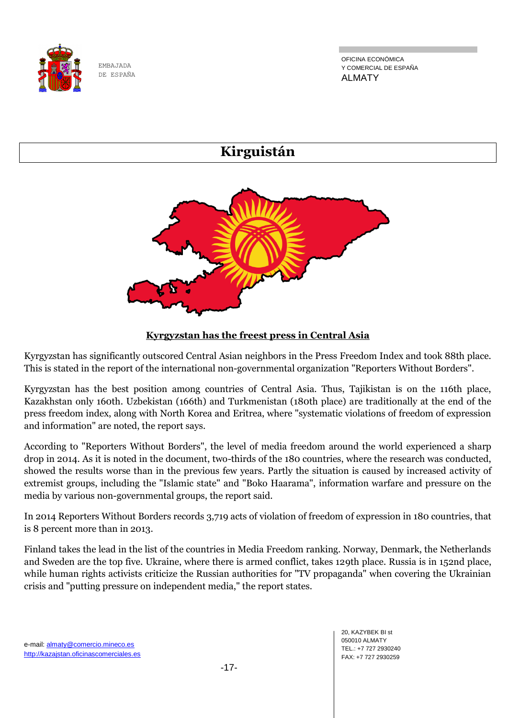

OFICINA ECONÓMICA Y COMERCIAL DE ESPAÑA ALMATY



## **Kyrgyzstan has the freest press in Central Asia**

Kyrgyzstan has significantly outscored Central Asian neighbors in the Press Freedom Index and took 88th place. This is stated in the report of the international non-governmental organization "Reporters Without Borders".

Kyrgyzstan has the best position among countries of Central Asia. Thus, Tajikistan is on the 116th place, Kazakhstan only 160th. Uzbekistan (166th) and Turkmenistan (180th place) are traditionally at the end of the press freedom index, along with North Korea and Eritrea, where "systematic violations of freedom of expression and information" are noted, the report says.

According to "Reporters Without Borders", the level of media freedom around the world experienced a sharp drop in 2014. As it is noted in the document, two-thirds of the 180 countries, where the research was conducted, showed the results worse than in the previous few years. Partly the situation is caused by increased activity of extremist groups, including the "Islamic state" and "Boko Haarama", information warfare and pressure on the media by various non-governmental groups, the report said.

In 2014 Reporters Without Borders records 3,719 acts of violation of freedom of expression in 180 countries, that is 8 percent more than in 2013.

Finland takes the lead in the list of the countries in Media Freedom ranking. Norway, Denmark, the Netherlands and Sweden are the top five. Ukraine, where there is armed conflict, takes 129th place. Russia is in 152nd place, while human rights activists criticize the Russian authorities for "TV propaganda" when covering the Ukrainian crisis and "putting pressure on independent media," the report states.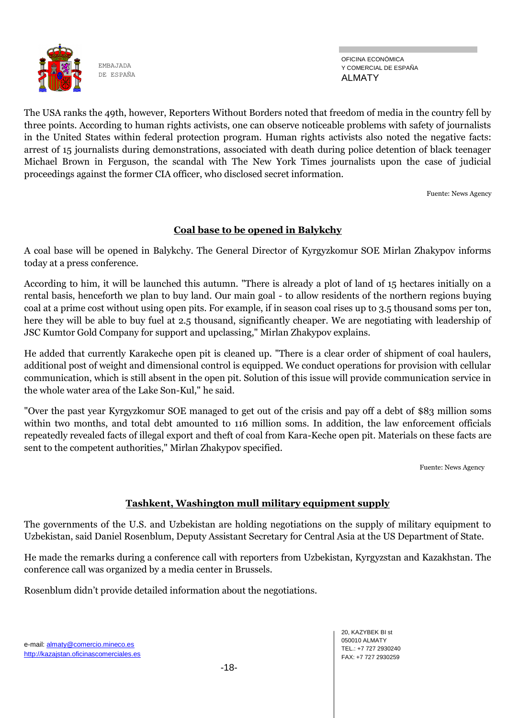

OFICINA ECONÓMICA Y COMERCIAL DE ESPAÑA ALMATY

The USA ranks the 49th, however, Reporters Without Borders noted that freedom of media in the country fell by three points. According to human rights activists, one can observe noticeable problems with safety of journalists in the United States within federal protection program. Human rights activists also noted the negative facts: arrest of 15 journalists during demonstrations, associated with death during police detention of black teenager Michael Brown in Ferguson, the scandal with The New York Times journalists upon the case of judicial proceedings against the former CIA officer, who disclosed secret information.

Fuente: News Agency

## **Coal base to be opened in Balykchy**

A coal base will be opened in Balykchy. The General Director of Kyrgyzkomur SOE Mirlan Zhakypov informs today at a press conference.

According to him, it will be launched this autumn. "There is already a plot of land of 15 hectares initially on a rental basis, henceforth we plan to buy land. Our main goal - to allow residents of the northern regions buying coal at a prime cost without using open pits. For example, if in season coal rises up to 3.5 thousand soms per ton, here they will be able to buy fuel at 2.5 thousand, significantly cheaper. We are negotiating with leadership of JSC Kumtor Gold Company for support and upclassing," Mirlan Zhakypov explains.

He added that currently Karakeche open pit is cleaned up. "There is a clear order of shipment of coal haulers, additional post of weight and dimensional control is equipped. We conduct operations for provision with cellular communication, which is still absent in the open pit. Solution of this issue will provide communication service in the whole water area of the Lake Son-Kul," he said.

"Over the past year Kyrgyzkomur SOE managed to get out of the crisis and pay off a debt of \$83 million soms within two months, and total debt amounted to 116 million soms. In addition, the law enforcement officials repeatedly revealed facts of illegal export and theft of coal from Kara-Keche open pit. Materials on these facts are sent to the competent authorities," Mirlan Zhakypov specified.

Fuente: News Agency

## **Tashkent, Washington mull military equipment supply**

The governments of the U.S. and Uzbekistan are holding negotiations on the supply of military equipment to Uzbekistan, said Daniel Rosenblum, Deputy Assistant Secretary for Central Asia at the US Department of State.

He made the remarks during a conference call with reporters from Uzbekistan, Kyrgyzstan and Kazakhstan. The conference call was organized by a media center in Brussels.

Rosenblum didn't provide detailed information about the negotiations.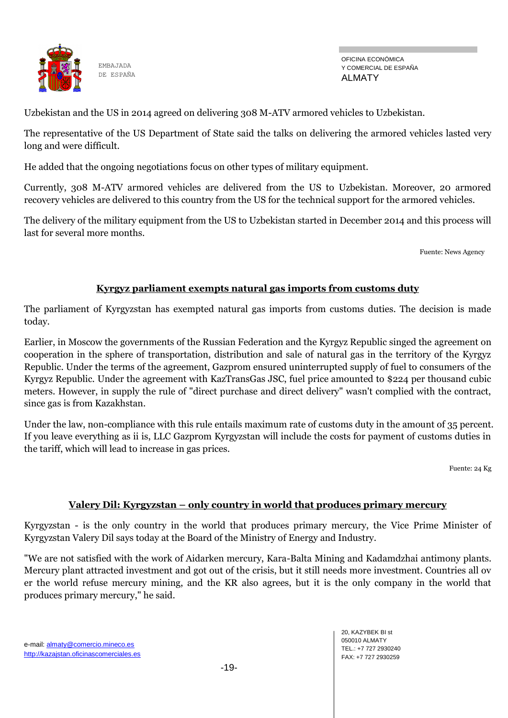

OFICINA ECONÓMICA Y COMERCIAL DE ESPAÑA ALMATY

Uzbekistan and the US in 2014 agreed on delivering 308 M-ATV armored vehicles to Uzbekistan.

The representative of the US Department of State said the talks on delivering the armored vehicles lasted very long and were difficult.

He added that the ongoing negotiations focus on other types of military equipment.

Currently, 308 M-ATV armored vehicles are delivered from the US to Uzbekistan. Moreover, 20 armored recovery vehicles are delivered to this country from the US for the technical support for the armored vehicles.

The delivery of the military equipment from the US to Uzbekistan started in December 2014 and this process will last for several more months.

Fuente: News Agency

#### **Kyrgyz parliament exempts natural gas imports from customs duty**

The parliament of Kyrgyzstan has exempted natural gas imports from customs duties. The decision is made today.

Earlier, in Moscow the governments of the Russian Federation and the Kyrgyz Republic singed the agreement on cooperation in the sphere of transportation, distribution and sale of natural gas in the territory of the Kyrgyz Republic. Under the terms of the agreement, Gazprom ensured uninterrupted supply of fuel to consumers of the Kyrgyz Republic. Under the agreement with KazTransGas JSC, fuel price amounted to \$224 per thousand cubic meters. However, in supply the rule of "direct purchase and direct delivery" wasn't complied with the contract, since gas is from Kazakhstan.

Under the law, non-compliance with this rule entails maximum rate of customs duty in the amount of 35 percent. If you leave everything as ii is, LLC Gazprom Kyrgyzstan will include the costs for payment of customs duties in the tariff, which will lead to increase in gas prices.

Fuente: 24 Kg

#### **Valery Dil: Kyrgyzstan – only country in world that produces primary mercury**

Kyrgyzstan - is the only country in the world that produces primary mercury, the Vice Prime Minister of Kyrgyzstan Valery Dil says today at the Board of the Ministry of Energy and Industry.

"We are not satisfied with the work of Aidarken mercury, Kara-Balta Mining and Kadamdzhai antimony plants. Mercury plant attracted investment and got out of the crisis, but it still needs more investment. Countries all ov er the world refuse mercury mining, and the KR also agrees, but it is the only company in the world that produces primary mercury," he said.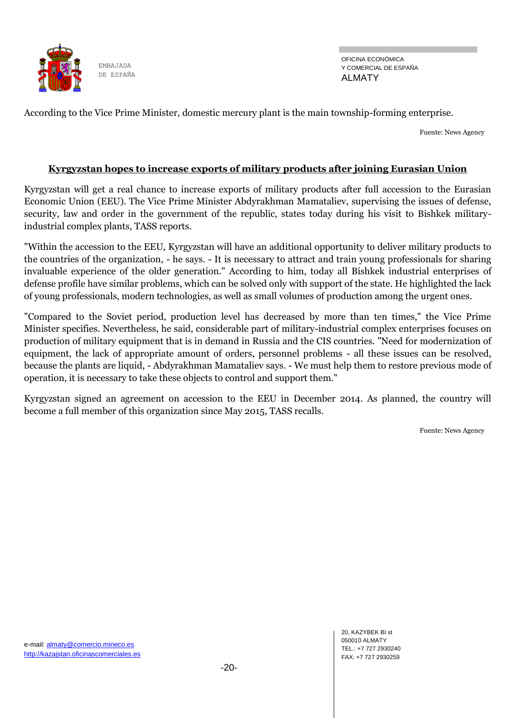

OFICINA ECONÓMICA Y COMERCIAL DE ESPAÑA ALMATY

According to the Vice Prime Minister, domestic mercury plant is the main township-forming enterprise.

Fuente: News Agency

#### **Kyrgyzstan hopes to increase exports of military products after joining Eurasian Union**

Kyrgyzstan will get a real chance to increase exports of military products after full accession to the Eurasian Economic Union (EEU). The Vice Prime Minister Abdyrakhman Mamataliev, supervising the issues of defense, security, law and order in the government of the republic, states today during his visit to Bishkek militaryindustrial complex plants, TASS reports.

"Within the accession to the EEU, Kyrgyzstan will have an additional opportunity to deliver military products to the countries of the organization, - he says. - It is necessary to attract and train young professionals for sharing invaluable experience of the older generation." According to him, today all Bishkek industrial enterprises of defense profile have similar problems, which can be solved only with support of the state. He highlighted the lack of young professionals, modern technologies, as well as small volumes of production among the urgent ones.

"Compared to the Soviet period, production level has decreased by more than ten times," the Vice Prime Minister specifies. Nevertheless, he said, considerable part of military-industrial complex enterprises focuses on production of military equipment that is in demand in Russia and the CIS countries. "Need for modernization of equipment, the lack of appropriate amount of orders, personnel problems - all these issues can be resolved, because the plants are liquid, - Abdyrakhman Mamataliev says. - We must help them to restore previous mode of operation, it is necessary to take these objects to control and support them."

Kyrgyzstan signed an agreement on accession to the EEU in December 2014. As planned, the country will become a full member of this organization since May 2015, TASS recalls.

Fuente: News Agency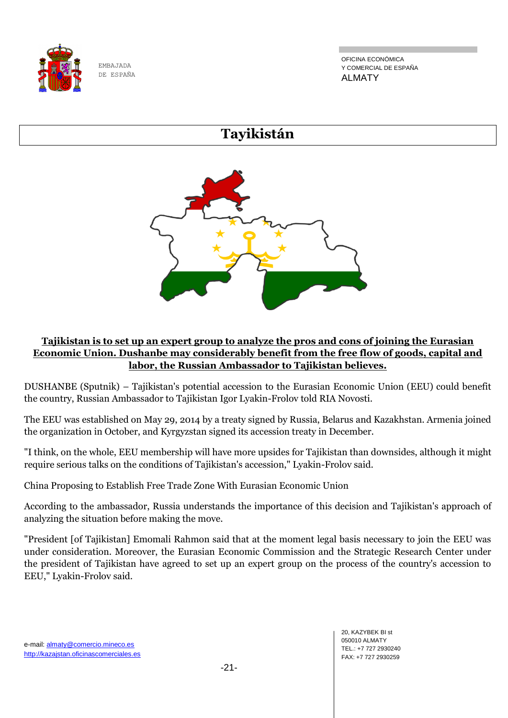

OFICINA ECONÓMICA Y COMERCIAL DE ESPAÑA ALMATY

# **Tayikistán**



## **Tajikistan is to set up an expert group to analyze the pros and cons of joining the Eurasian Economic Union. Dushanbe may considerably benefit from the free flow of goods, capital and labor, the Russian Ambassador to Tajikistan believes.**

DUSHANBE (Sputnik) – Tajikistan's potential accession to the Eurasian Economic Union (EEU) could benefit the country, Russian Ambassador to Tajikistan Igor Lyakin-Frolov told RIA Novosti.

The EEU was established on May 29, 2014 by a treaty signed by Russia, Belarus and Kazakhstan. Armenia joined the organization in October, and Kyrgyzstan signed its accession treaty in December.

"I think, on the whole, EEU membership will have more upsides for Tajikistan than downsides, although it might require serious talks on the conditions of Tajikistan's accession," Lyakin-Frolov said.

China Proposing to Establish Free Trade Zone With Eurasian Economic Union

According to the ambassador, Russia understands the importance of this decision and Tajikistan's approach of analyzing the situation before making the move.

"President [of Tajikistan] Emomali Rahmon said that at the moment legal basis necessary to join the EEU was under consideration. Moreover, the Eurasian Economic Commission and the Strategic Research Center under the president of Tajikistan have agreed to set up an expert group on the process of the country's accession to EEU," Lyakin-Frolov said.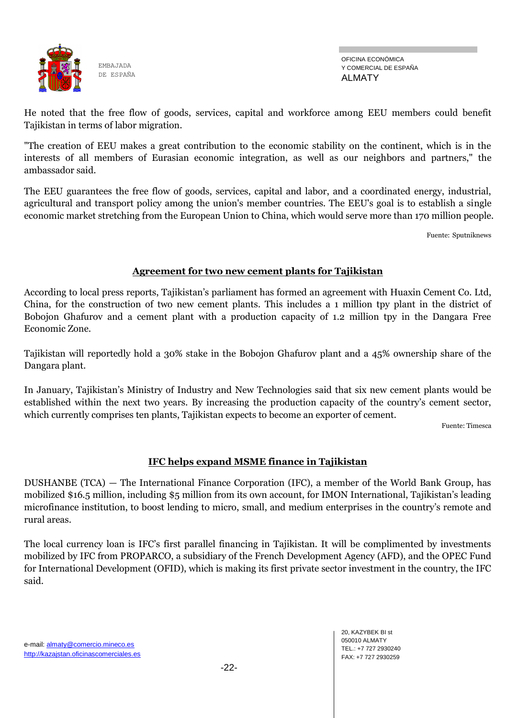

OFICINA ECONÓMICA Y COMERCIAL DE ESPAÑA ALMATY

He noted that the free flow of goods, services, capital and workforce among EEU members could benefit Tajikistan in terms of labor migration.

"The creation of EEU makes a great contribution to the economic stability on the continent, which is in the interests of all members of Eurasian economic integration, as well as our neighbors and partners," the ambassador said.

The EEU guarantees the free flow of goods, services, capital and labor, and a coordinated energy, industrial, agricultural and transport policy among the union's member countries. The EEU's goal is to establish a single economic market stretching from the European Union to China, which would serve more than 170 million people.

Fuente: Sputniknews

#### **Agreement for two new cement plants for Tajikistan**

According to local press reports, Tajikistan's parliament has formed an agreement with Huaxin Cement Co. Ltd, China, for the construction of two new cement plants. This includes a 1 million tpy plant in the district of Bobojon Ghafurov and a cement plant with a production capacity of 1.2 million tpy in the Dangara Free Economic Zone.

Tajikistan will reportedly hold a 30% stake in the Bobojon Ghafurov plant and a 45% ownership share of the Dangara plant.

In January, Tajikistan's Ministry of Industry and New Technologies said that six new cement plants would be established within the next two years. By increasing the production capacity of the country's cement sector, which currently comprises ten plants, Tajikistan expects to become an exporter of cement.

Fuente: Timesca

## **IFC helps expand MSME finance in Tajikistan**

DUSHANBE (TCA) — The International Finance Corporation (IFC), a member of the World Bank Group, has mobilized \$16.5 million, including \$5 million from its own account, for IMON International, Tajikistan's leading microfinance institution, to boost lending to micro, small, and medium enterprises in the country's remote and rural areas.

The local currency loan is IFC's first parallel financing in Tajikistan. It will be complimented by investments mobilized by IFC from PROPARCO, a subsidiary of the French Development Agency (AFD), and the OPEC Fund for International Development (OFID), which is making its first private sector investment in the country, the IFC said.